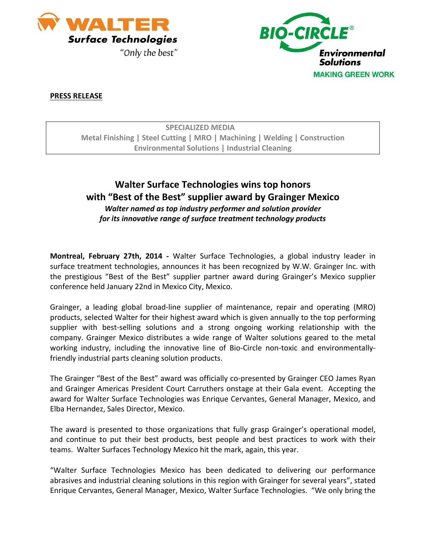



## **PRESS RELEASE**

| <b>SPECIALIZED MEDIA</b>                                                   |
|----------------------------------------------------------------------------|
| Metal Finishing   Steel Cutting   MRO   Machining   Welding   Construction |
| <b>Environmental Solutions   Industrial Cleaning</b>                       |

## **Walter Surface Technologies wins top honors with "Best of the Best" supplier award by Grainger Mexico** *Walter named as top industry performer and solution provider for its innovative range of surface treatment technology products*

**Montreal, February 27th, 2014 ‐**  Walter Surface Technologies, a global industry leader in surface treatment technologies, announces it has been recognized by W.W. Grainger Inc. with the prestigious "Best of the Best" supplier partner award during Grainger's Mexico supplier conference held January 22nd in Mexico City, Mexico.

Grainger, a leading global broad-line supplier of maintenance, repair and operating (MRO) products, selected Walter for their highest award which is given annually to the top performing supplier with best-selling solutions and a strong ongoing working relationship with the company. Grainger Mexico distributes a wide range of Walter solutions geared to the metal working industry, including the innovative line of Bio-Circle non-toxic and environmentallyfriendly industrial parts cleaning solution products.

The Grainger "Best of the Best" award was officially co-presented by Grainger CEO James Ryan and Grainger Americas President Court Carruthers onstage at their Gala event. Accepting the award for Walter Surface Technologies was Enrique Cervantes, General Manager, Mexico, and Elba Hernandez, Sales Director, Mexico.

The award is presented to those organizations that fully grasp Grainger's operational model, and continue to put their best products, best people and best practices to work with their teams. Walter Surfaces Technology Mexico hit the mark, again, this year.

"Walter Surface Technologies Mexico has been dedicated to delivering our performance abrasives and industrial cleaning solutions in this region with Grainger for several years", stated Enrique Cervantes, General Manager, Mexico, Walter Surface Technologies. "We only bring the